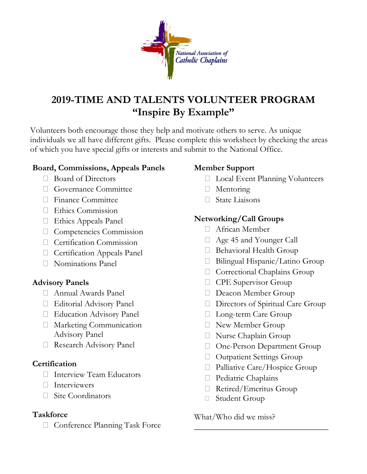

# **2019-TIME AND TALENTS VOLUNTEER PROGRAM "Inspire By Example"**

Volunteers both encourage those they help and motivate others to serve. As unique individuals we all have different gifts. Please complete this worksheet by checking the areas of which you have special gifts or interests and submit to the National Office.

#### **Board, Commissions, Appeals Panels**

- □ Board of Directors
- Governance Committee
- Finance Committee
- **Ethics Commission**
- $\Box$  Ethics Appeals Panel
- Competencies Commission
- **Certification Commission**
- Certification Appeals Panel
- Nominations Panel

#### **Advisory Panels**

- Annual Awards Panel
- Editorial Advisory Panel
- □ Education Advisory Panel
- Marketing Communication Advisory Panel
- □ Research Advisory Panel

#### **Certification**

- Interview Team Educators
- Interviewers
- □ Site Coordinators

#### **Taskforce**

□ Conference Planning Task Force

#### **Member Support**

- □ Local Event Planning Volunteers
- □ Mentoring
- State Liaisons

### **Networking/Call Groups**

- African Member
- Age 45 and Younger Call
- $\Box$  Behavioral Health Group
- $\Box$  Bilingual Hispanic/Latino Group
- □ Correctional Chaplains Group
- **CPE** Supervisor Group
- Deacon Member Group
- Directors of Spiritual Care Group
- Long-term Care Group
- New Member Group
- Nurse Chaplain Group
- One-Person Department Group
- Outpatient Settings Group
- □ Palliative Care/Hospice Group

\_\_\_\_\_\_\_\_\_\_\_\_\_\_\_\_\_\_\_\_\_\_\_\_\_\_\_\_\_\_\_\_

- $\Box$  Pediatric Chaplains
- □ Retired/Emeritus Group
- Student Group

What/Who did we miss?